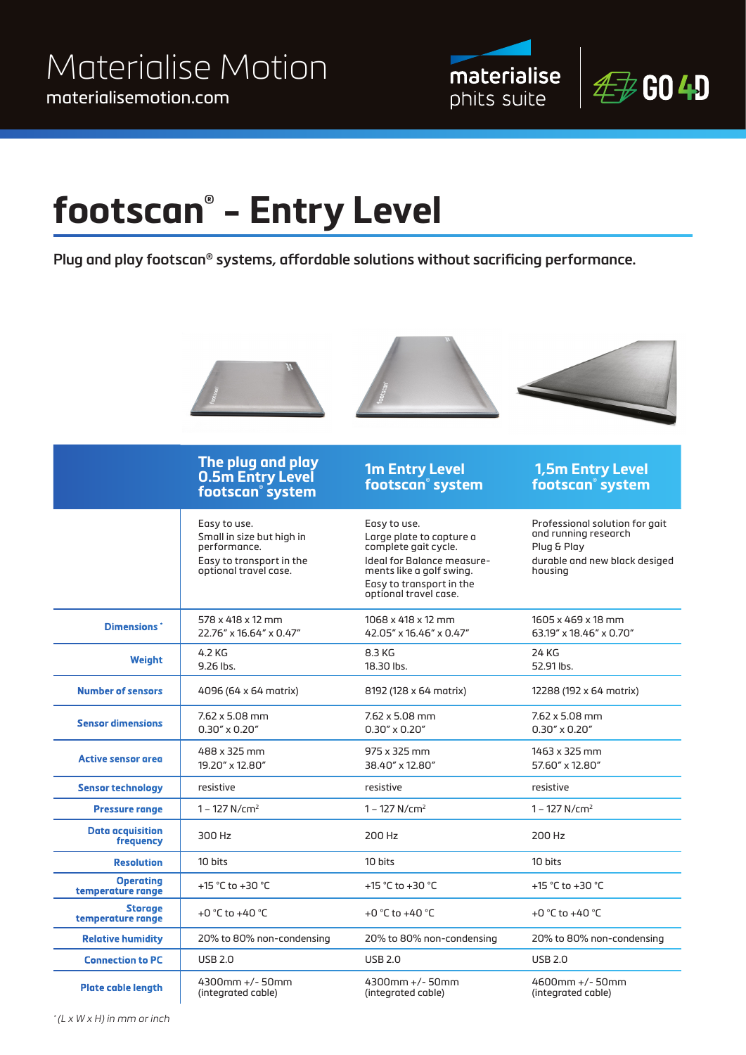



# **footscan® - Entry Level**

**Plug and play footscan® systems, affordable solutions without sacrificing performance.** 



 $*(L \times W \times H)$  in mm or inch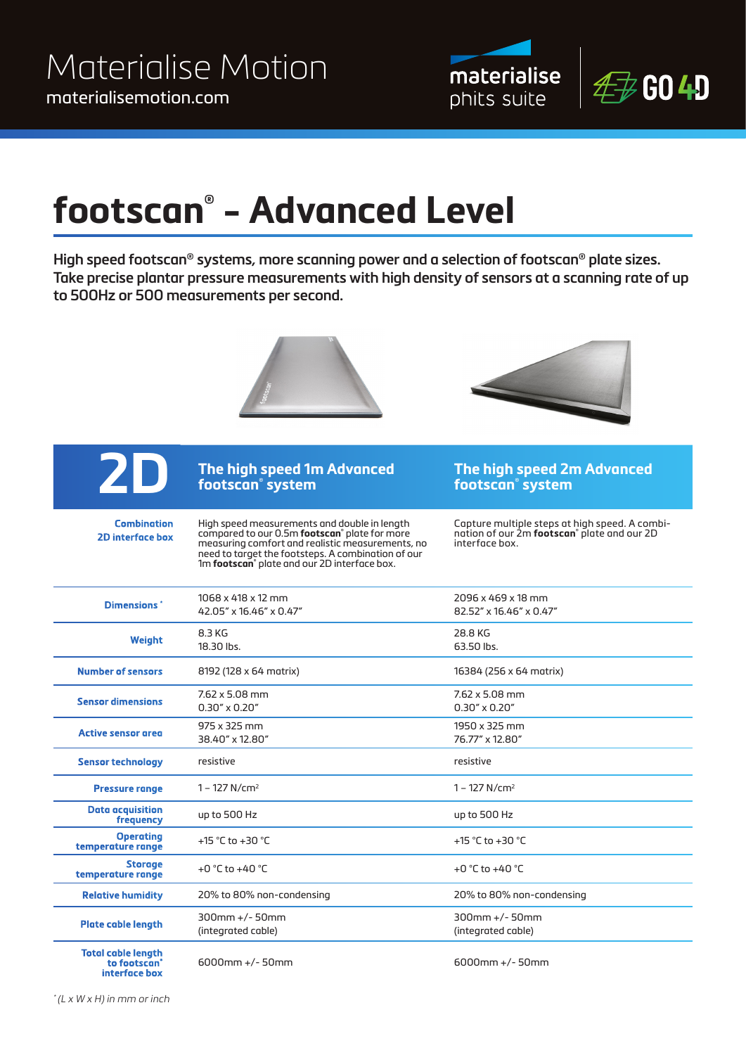



### **footscan® - Advanced Level**

**High speed footscan® systems, more scanning power and a selection of footscan® plate sizes. Take precise plantar pressure measurements with high density of sensors at a scanning rate of up to 500Hz or 500 measurements per second.**





**Combination 2D interface box** 

#### **The high speed 1m Advanced footscan® system**

High speed measurements and double in length compared to our 0.5m **footscan®** plate for more measuring comfort and realistic measurements, no need to target the footsteps. A combination of our 1m **footscan®** plate and our 2D interface box.

Capture multiple steps at high speed. A combination of our 2m **footscan®** plate and our 2D interface box.

**The high speed 2m Advanced** 

**footscan® system**

| Dimensions <sup>*</sup>               | 1068 x 418 x 12 mm                  | 2096 x 469 x 18 mm                  |
|---------------------------------------|-------------------------------------|-------------------------------------|
|                                       | 42.05" x 16.46" x 0.47"             | 82.52" x 16.46" x 0.47"             |
| Weight                                | 8.3 KG                              | 28.8 KG                             |
|                                       | 18.30 lbs.                          | 63.50 lbs.                          |
| <b>Number of sensors</b>              | 8192 (128 x 64 matrix)              | 16384 (256 x 64 matrix)             |
| <b>Sensor dimensions</b>              | $7.62 \times 5.08$ mm               | $7.62 \times 5.08 \text{ mm}$       |
|                                       | $0.30'' \times 0.20''$              | $0.30'' \times 0.20''$              |
| <b>Active sensor area</b>             | 975 x 325 mm                        | 1950 x 325 mm                       |
|                                       | 38.40" x 12.80"                     | 76.77" x 12.80"                     |
| <b>Sensor technology</b>              | resistive                           | resistive                           |
| <b>Pressure range</b>                 | $1 - 127$ N/cm <sup>2</sup>         | $1 - 127$ N/cm <sup>2</sup>         |
| <b>Data acquisition</b><br>frequency  | up to 500 Hz                        | up to 500 Hz                        |
| <b>Operating</b><br>temperature range | +15 °C to +30 °C                    | +15 °C to +30 °C                    |
| <b>Storage</b><br>temperature range   | +0 $^{\circ}$ C to +40 $^{\circ}$ C | +0 $^{\circ}$ C to +40 $^{\circ}$ C |
| <b>Relative humidity</b>              | 20% to 80% non-condensing           | 20% to 80% non-condensing           |
| <b>Plate cable length</b>             | $300$ mm +/-50mm                    | $300$ mm +/-50mm                    |
|                                       | (integrated cable)                  | (integrated cable)                  |
| <b>Total cable lenath</b>             |                                     |                                     |

**to footscan® interface box**

6000mm +/- 50mm 6000mm +/- 50mm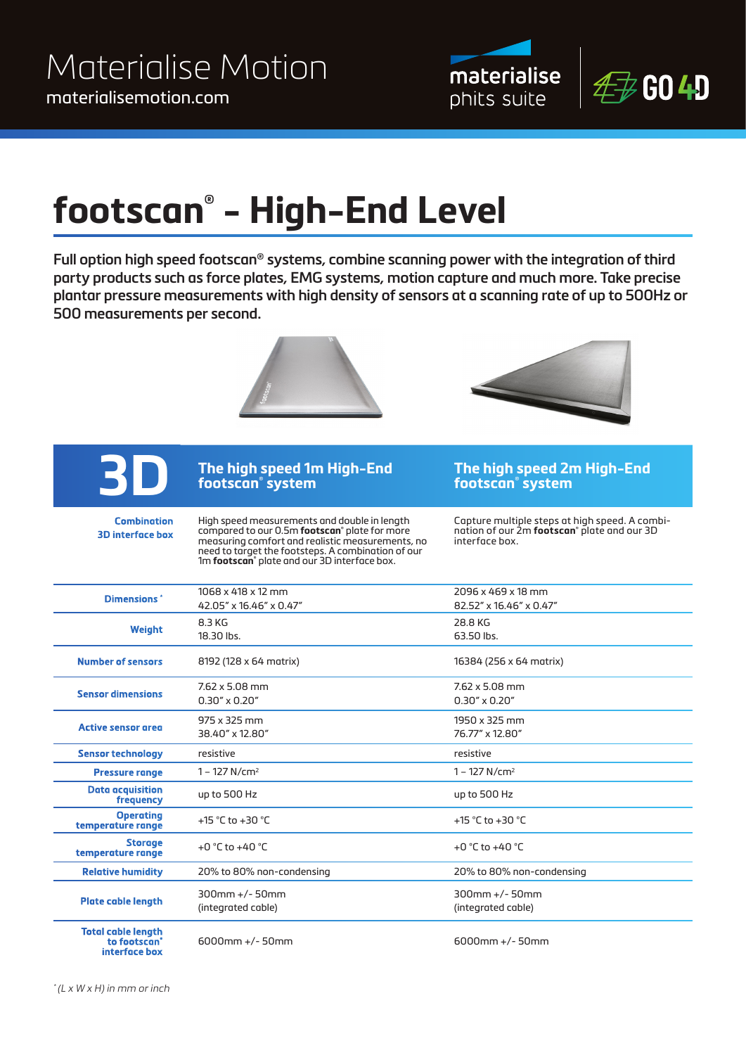



# **footscan® - High-End Level**

**Full option high speed footscan® systems, combine scanning power with the integration of third party products such as force plates, EMG systems, motion capture and much more. Take precise plantar pressure measurements with high density of sensors at a scanning rate of up to 500Hz or 500 measurements per second.**





**Combination 3D interface box**

### **The high speed 1m High-End footscan® system**

High speed measurements and double in length compared to our 0.5m **footscan®** plate for more measuring comfort and realistic measurements, no need to target the footsteps. A combination of our 1m **footscan®** plate and our 3D interface box.

**footscan® system**

**The high speed 2m High-End** 

Capture multiple steps at high speed. A combination of our 2m **footscan®** plate and our 3D interface box.

| <b>Dimensions</b> *                                   | 1068 x 418 x 12 mm                     | 2096 x 469 x 18 mm                     |
|-------------------------------------------------------|----------------------------------------|----------------------------------------|
|                                                       | 42.05" x 16.46" x 0.47"                | 82.52" x 16.46" x 0.47"                |
| Weight                                                | 8.3 KG                                 | 28.8 KG                                |
|                                                       | 18.30 lbs.                             | 63.50 lbs.                             |
| <b>Number of sensors</b>                              | 8192 (128 x 64 matrix)                 | 16384 (256 x 64 matrix)                |
| <b>Sensor dimensions</b>                              | $7.62 \times 5.08$ mm                  | $7.62 \times 5.08$ mm                  |
|                                                       | $0.30'' \times 0.20''$                 | $0.30'' \times 0.20''$                 |
| <b>Active sensor area</b>                             | 975 x 325 mm                           | 1950 x 325 mm                          |
|                                                       | 38.40" x 12.80"                        | 76.77" x 12.80"                        |
| <b>Sensor technology</b>                              | resistive                              | resistive                              |
| <b>Pressure range</b>                                 | $1 - 127$ N/cm <sup>2</sup>            | $1 - 127$ N/cm <sup>2</sup>            |
| <b>Data acquisition</b><br>frequency                  | up to 500 Hz                           | up to 500 Hz                           |
| <b>Operating</b><br>temperature range                 | +15 °C to +30 °C                       | +15 °C to +30 °C                       |
| <b>Storage</b><br>temperature range                   | +0 °C to +40 °C                        | +0 $^{\circ}$ C to +40 $^{\circ}$ C    |
| <b>Relative humidity</b>                              | 20% to 80% non-condensing              | 20% to 80% non-condensing              |
| <b>Plate cable length</b>                             | $300$ mm +/-50mm<br>(integrated cable) | $300$ mm +/-50mm<br>(integrated cable) |
| <b>Total cable length</b><br>to footscan <sup>®</sup> | $6000$ mm +/-50mm                      | $6000$ mm +/-50mm                      |

**interface box**